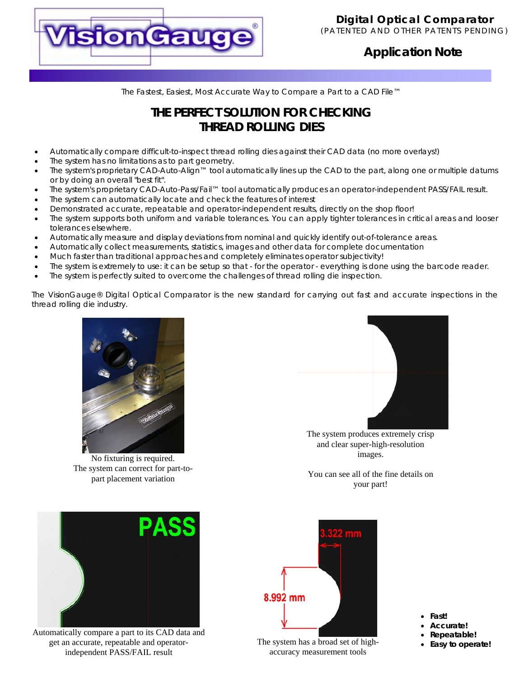

# **Application Note**

*The Fastest, Easiest, Most Accurate Way to Compare a Part to a CAD File™*

# **THE PERFECT SOLUTION FOR CHECKING THREAD ROLLING DIES**

- Automatically compare difficult-to-inspect thread rolling dies against their CAD data (no more overlays!)
- The system has no limitations as to part geometry.
- The system's proprietary CAD-Auto-Align™ tool automatically lines up the CAD to the part, along one or multiple datums or by doing an overall "best fit".
- The system's proprietary CAD-Auto-Pass/Fail™ tool automatically produces an operator-independent PASS/FAIL result.
- The system can automatically locate and check the features of interest
- Demonstrated accurate, repeatable and operator-independent results, directly on the shop floor!
- The system supports both uniform and variable tolerances. You can apply tighter tolerances in critical areas and looser tolerances elsewhere.
- Automatically measure and display deviations from nominal and quickly identify out-of-tolerance areas.
- Automatically collect measurements, statistics, images and other data for complete documentation
- Much faster than traditional approaches and completely eliminates operator subjectivity!
- The system is extremely to use: it can be setup so that for the operator everything is done using the barcode reader.
- The system is perfectly suited to overcome the challenges of thread rolling die inspection.

The VisionGauge® Digital Optical Comparator is the new standard for carrying out fast and accurate inspections in the thread rolling die industry.



No fixturing is required. The system can correct for part-topart placement variation



The system produces extremely crisp and clear super-high-resolution images.

You can see all of the fine details on your part!



Automatically compare a part to its CAD data and get an accurate, repeatable and operatorindependent PASS/FAIL result



• **Repeatable!** The system has a broad set of high- • **Easy to operate!**  accuracy measurement tools

- **Fast!**
- **Accurate!**
-